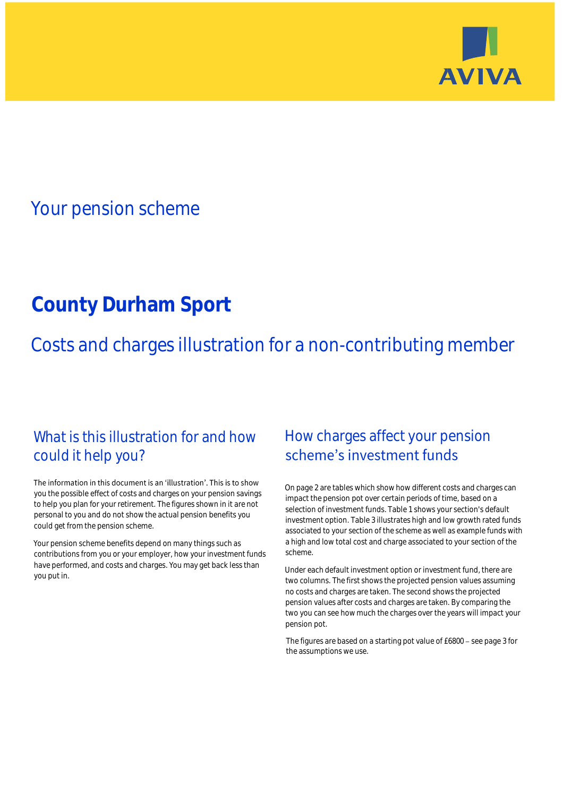

## Your pension scheme

# **County Durham Sport**

Costs and charges illustration for a non-contributing member

### What is this illustration for and how could it help you?

#### The information in this document is an 'illustration'. This is to show you the possible effect of costs and charges on your pension savings to help you plan for your retirement. The figures shown in it are not personal to you and do not show the actual pension benefits you could get from the pension scheme.

Your pension scheme benefits depend on many things such as contributions from you or your employer, how your investment funds have performed, and costs and charges. You may get back less than you put in.

### How charges affect your pension scheme's investment funds

On page 2 are tables which show how different costs and charges can impact the pension pot over certain periods of time, based on a selection of investment funds. Table 1 shows your section's default investment option. Table 3 illustrates high and low growth rated funds associated to your section of the scheme as well as example funds with a high and low total cost and charge associated to your section of the scheme.

Under each default investment option or investment fund, there are two columns. The first shows the projected pension values assuming no costs and charges are taken. The second shows the projected pension values after costs and charges are taken. By comparing the two you can see how much the charges over the years will impact your pension pot.

The figures are based on a starting pot value of  $£6800 -$  see page 3 for the assumptions we use.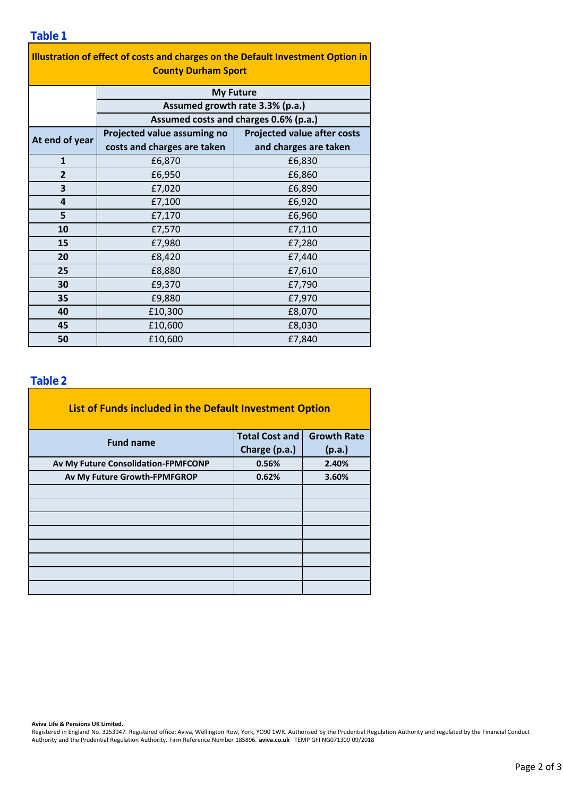|--|

| Illustration of effect of costs and charges on the Default Investment Option in |
|---------------------------------------------------------------------------------|
| <b>County Durham Sport</b>                                                      |

|                | <b>My Future</b>                      |                                    |  |  |  |  |
|----------------|---------------------------------------|------------------------------------|--|--|--|--|
|                | Assumed growth rate 3.3% (p.a.)       |                                    |  |  |  |  |
|                | Assumed costs and charges 0.6% (p.a.) |                                    |  |  |  |  |
| At end of year | Projected value assuming no           | <b>Projected value after costs</b> |  |  |  |  |
|                | costs and charges are taken           | and charges are taken              |  |  |  |  |
| $\mathbf{1}$   | £6,870                                | £6,830                             |  |  |  |  |
| $\overline{2}$ | £6,950                                | £6,860                             |  |  |  |  |
| 3              | £7,020                                | £6,890                             |  |  |  |  |
| 4              | £7,100                                | £6,920                             |  |  |  |  |
| 5              | £7,170                                | £6,960                             |  |  |  |  |
| 10             | £7,570                                | £7,110                             |  |  |  |  |
| 15             | £7,980                                | £7,280                             |  |  |  |  |
| 20             | £8,420                                | £7,440                             |  |  |  |  |
| 25             | £8,880                                | £7,610                             |  |  |  |  |
| 30             | £9,370                                | £7,790                             |  |  |  |  |
| 35             | £9,880                                | £7,970                             |  |  |  |  |
| 40             | £10,300                               | £8,070                             |  |  |  |  |
| 45             | £10,600                               | £8,030                             |  |  |  |  |
| 50             | £10,600                               | £7,840                             |  |  |  |  |

#### **Table 2**

| List of Funds included in the Default Investment Option |                       |                    |
|---------------------------------------------------------|-----------------------|--------------------|
| <b>Fund name</b>                                        | <b>Total Cost and</b> | <b>Growth Rate</b> |
|                                                         | Charge (p.a.)         | (p.a.)             |
| Av My Future Consolidation-FPMFCONP                     | 0.56%                 | 2.40%              |
| Av My Future Growth-FPMFGROP                            | 0.62%                 | 3.60%              |
|                                                         |                       |                    |
|                                                         |                       |                    |
|                                                         |                       |                    |
|                                                         |                       |                    |
|                                                         |                       |                    |
|                                                         |                       |                    |
|                                                         |                       |                    |
|                                                         |                       |                    |

**Aviva Life & Pensions UK Limited.**

Registered in England No. 3253947. Registered office: Aviva, Wellington Row, York, YO90 1WR. Authorised by the Prudential Regulation Authority and regulated by the Financial Conduct Authority and the Prudential Regulation Authority. Firm Reference Number 185896. **aviva.co.uk** TEMP GFI NG071309 09/2018